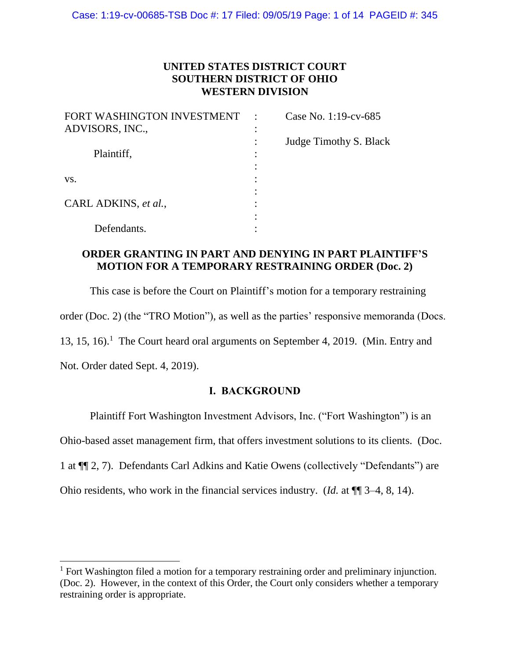## **UNITED STATES DISTRICT COURT SOUTHERN DISTRICT OF OHIO WESTERN DIVISION**

| FORT WASHINGTON INVESTMENT | $\cdot$ | Case No. 1:19-cv-685   |
|----------------------------|---------|------------------------|
| ADVISORS, INC.,            |         |                        |
|                            |         | Judge Timothy S. Black |
| Plaintiff,                 |         |                        |
|                            |         |                        |
| VS.                        |         |                        |
|                            |         |                        |
| CARL ADKINS, et al.,       |         |                        |
|                            |         |                        |
| Defendants.                |         |                        |

## **ORDER GRANTING IN PART AND DENYING IN PART PLAINTIFF'S MOTION FOR A TEMPORARY RESTRAINING ORDER (Doc. 2)**

This case is before the Court on Plaintiff's motion for a temporary restraining order (Doc. 2) (the "TRO Motion"), as well as the parties' responsive memoranda (Docs. 13, 15, 16).<sup>1</sup> The Court heard oral arguments on September 4, 2019. (Min. Entry and Not. Order dated Sept. 4, 2019).

## **I. BACKGROUND**

Plaintiff Fort Washington Investment Advisors, Inc. ("Fort Washington") is an

Ohio-based asset management firm, that offers investment solutions to its clients. (Doc.

1 at ¶¶ 2, 7). Defendants Carl Adkins and Katie Owens (collectively "Defendants") are

Ohio residents, who work in the financial services industry. (*Id.* at ¶¶ 3–4, 8, 14).

<sup>&</sup>lt;sup>1</sup> Fort Washington filed a motion for a temporary restraining order and preliminary injunction. (Doc. 2). However, in the context of this Order, the Court only considers whether a temporary restraining order is appropriate.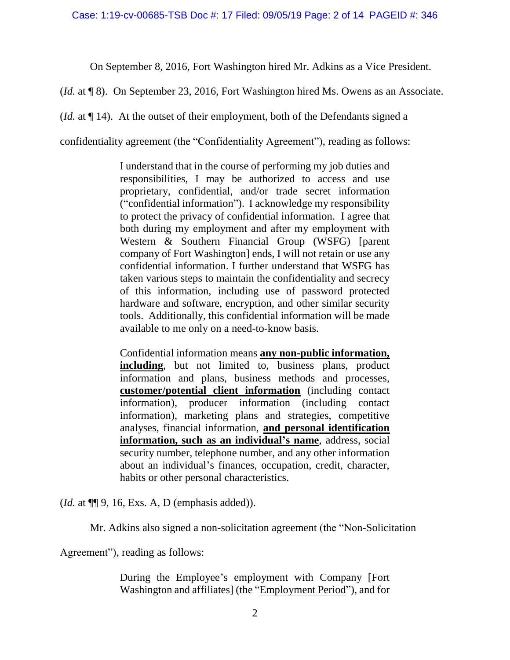On September 8, 2016, Fort Washington hired Mr. Adkins as a Vice President.

(*Id.* at ¶ 8). On September 23, 2016, Fort Washington hired Ms. Owens as an Associate.

(*Id.* at ¶ 14). At the outset of their employment, both of the Defendants signed a

confidentiality agreement (the "Confidentiality Agreement"), reading as follows:

I understand that in the course of performing my job duties and responsibilities, I may be authorized to access and use proprietary, confidential, and/or trade secret information ("confidential information"). I acknowledge my responsibility to protect the privacy of confidential information. I agree that both during my employment and after my employment with Western & Southern Financial Group (WSFG) [parent company of Fort Washington] ends, I will not retain or use any confidential information. I further understand that WSFG has taken various steps to maintain the confidentiality and secrecy of this information, including use of password protected hardware and software, encryption, and other similar security tools. Additionally, this confidential information will be made available to me only on a need-to-know basis.

Confidential information means **any non-public information, including**, but not limited to, business plans, product information and plans, business methods and processes, **customer/potential client information** (including contact information), producer information (including contact information), marketing plans and strategies, competitive analyses, financial information, **and personal identification information, such as an individual's name**, address, social security number, telephone number, and any other information about an individual's finances, occupation, credit, character, habits or other personal characteristics.

(*Id.* at ¶¶ 9, 16, Exs. A, D (emphasis added)).

Mr. Adkins also signed a non-solicitation agreement (the "Non-Solicitation

Agreement"), reading as follows:

During the Employee's employment with Company [Fort] Washington and affiliates] (the "Employment Period"), and for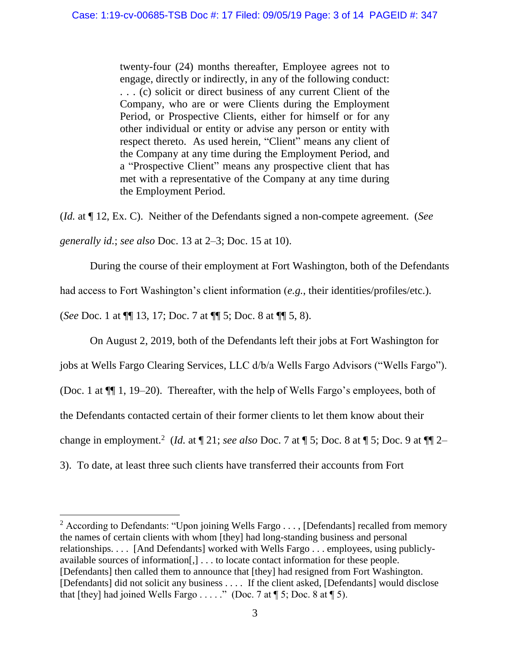twenty-four (24) months thereafter, Employee agrees not to engage, directly or indirectly, in any of the following conduct: . . . (c) solicit or direct business of any current Client of the Company, who are or were Clients during the Employment Period, or Prospective Clients, either for himself or for any other individual or entity or advise any person or entity with respect thereto. As used herein, "Client" means any client of the Company at any time during the Employment Period, and a "Prospective Client" means any prospective client that has met with a representative of the Company at any time during the Employment Period.

(*Id.* at ¶ 12, Ex. C). Neither of the Defendants signed a non-compete agreement. (*See generally id.*; *see also* Doc. 13 at 2–3; Doc. 15 at 10).

During the course of their employment at Fort Washington, both of the Defendants

had access to Fort Washington's client information (*e.g.*, their identities/profiles/etc.).

(*See* Doc. 1 at ¶¶ 13, 17; Doc. 7 at ¶¶ 5; Doc. 8 at ¶¶ 5, 8).

 $\overline{\phantom{a}}$ 

On August 2, 2019, both of the Defendants left their jobs at Fort Washington for

jobs at Wells Fargo Clearing Services, LLC d/b/a Wells Fargo Advisors ("Wells Fargo").

(Doc. 1 at ¶¶ 1, 19–20). Thereafter, with the help of Wells Fargo's employees, both of

the Defendants contacted certain of their former clients to let them know about their

change in employment.<sup>2</sup> (*Id.* at  $\P$  21; *see also* Doc. 7 at  $\P$  5; Doc. 8 at  $\P$  5; Doc. 9 at  $\P$  $\P$  2–

3). To date, at least three such clients have transferred their accounts from Fort

<sup>&</sup>lt;sup>2</sup> According to Defendants: "Upon joining Wells Fargo . . . , [Defendants] recalled from memory the names of certain clients with whom [they] had long-standing business and personal relationships. . . . [And Defendants] worked with Wells Fargo . . . employees, using publiclyavailable sources of information[,] . . . to locate contact information for these people. [Defendants] then called them to announce that [they] had resigned from Fort Washington. [Defendants] did not solicit any business . . . . If the client asked, [Defendants] would disclose that [they] had joined Wells Fargo ....." (Doc. 7 at  $\P$  5; Doc. 8 at  $\P$  5).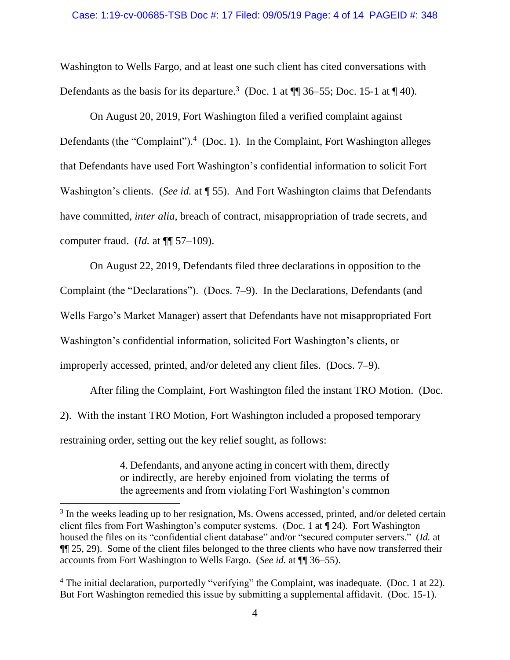Washington to Wells Fargo, and at least one such client has cited conversations with Defendants as the basis for its departure.<sup>3</sup> (Doc. 1 at  $\P$  36–55; Doc. 15-1 at  $\P$  40).

On August 20, 2019, Fort Washington filed a verified complaint against Defendants (the "Complaint").<sup>4</sup> (Doc. 1). In the Complaint, Fort Washington alleges that Defendants have used Fort Washington's confidential information to solicit Fort Washington's clients. (*See id.* at ¶ 55). And Fort Washington claims that Defendants have committed, *inter alia*, breach of contract, misappropriation of trade secrets, and computer fraud. (*Id.* at ¶¶ 57–109).

On August 22, 2019, Defendants filed three declarations in opposition to the Complaint (the "Declarations"). (Docs. 7–9). In the Declarations, Defendants (and Wells Fargo's Market Manager) assert that Defendants have not misappropriated Fort Washington's confidential information, solicited Fort Washington's clients, or improperly accessed, printed, and/or deleted any client files. (Docs. 7–9).

After filing the Complaint, Fort Washington filed the instant TRO Motion. (Doc. 2). With the instant TRO Motion, Fort Washington included a proposed temporary restraining order, setting out the key relief sought, as follows:

> 4. Defendants, and anyone acting in concert with them, directly or indirectly, are hereby enjoined from violating the terms of the agreements and from violating Fort Washington's common

 $3$  In the weeks leading up to her resignation, Ms. Owens accessed, printed, and/or deleted certain client files from Fort Washington's computer systems. (Doc. 1 at ¶ 24). Fort Washington housed the files on its "confidential client database" and/or "secured computer servers." (*Id.* at ¶¶ 25, 29). Some of the client files belonged to the three clients who have now transferred their accounts from Fort Washington to Wells Fargo. (*See id.* at ¶¶ 36–55).

<sup>&</sup>lt;sup>4</sup> The initial declaration, purportedly "verifying" the Complaint, was inadequate. (Doc. 1 at 22). But Fort Washington remedied this issue by submitting a supplemental affidavit. (Doc. 15-1).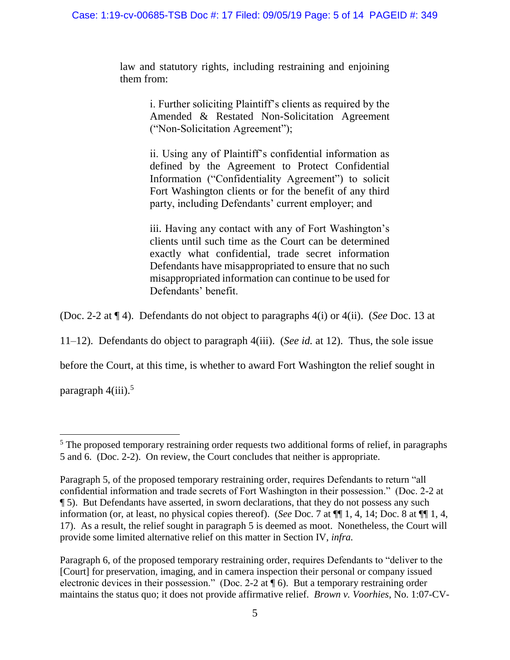law and statutory rights, including restraining and enjoining them from:

> i. Further soliciting Plaintiff's clients as required by the Amended & Restated Non-Solicitation Agreement ("Non-Solicitation Agreement");

> ii. Using any of Plaintiff's confidential information as defined by the Agreement to Protect Confidential Information ("Confidentiality Agreement") to solicit Fort Washington clients or for the benefit of any third party, including Defendants' current employer; and

> iii. Having any contact with any of Fort Washington's clients until such time as the Court can be determined exactly what confidential, trade secret information Defendants have misappropriated to ensure that no such misappropriated information can continue to be used for Defendants' benefit.

(Doc. 2-2 at ¶ 4). Defendants do not object to paragraphs 4(i) or 4(ii). (*See* Doc. 13 at

11–12). Defendants do object to paragraph 4(iii). (*See id.* at 12). Thus, the sole issue

before the Court, at this time, is whether to award Fort Washington the relief sought in

paragraph  $4(iii)$ .<sup>5</sup>

l

<sup>&</sup>lt;sup>5</sup> The proposed temporary restraining order requests two additional forms of relief, in paragraphs 5 and 6. (Doc. 2-2). On review, the Court concludes that neither is appropriate.

Paragraph 5, of the proposed temporary restraining order, requires Defendants to return "all confidential information and trade secrets of Fort Washington in their possession." (Doc. 2-2 at ¶ 5). But Defendants have asserted, in sworn declarations, that they do not possess any such information (or, at least, no physical copies thereof). (*See* Doc. 7 at ¶¶ 1, 4, 14; Doc. 8 at ¶¶ 1, 4, 17). As a result, the relief sought in paragraph 5 is deemed as moot. Nonetheless, the Court will provide some limited alternative relief on this matter in Section IV, *infra.*

Paragraph 6, of the proposed temporary restraining order, requires Defendants to "deliver to the [Court] for preservation, imaging, and in camera inspection their personal or company issued electronic devices in their possession." (Doc. 2-2 at ¶ 6). But a temporary restraining order maintains the status quo; it does not provide affirmative relief. *Brown v. Voorhies*, No. 1:07-CV-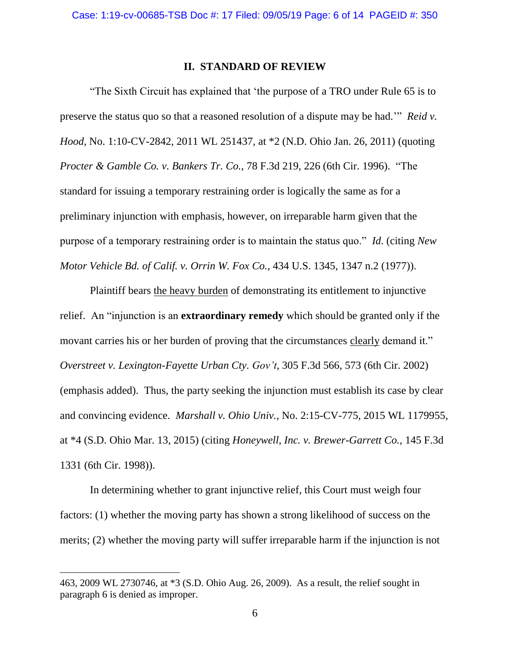#### **II. STANDARD OF REVIEW**

"The Sixth Circuit has explained that 'the purpose of a TRO under Rule 65 is to preserve the status quo so that a reasoned resolution of a dispute may be had.'" *Reid v. Hood*, No. 1:10-CV-2842, 2011 WL 251437, at \*2 (N.D. Ohio Jan. 26, 2011) (quoting *Procter & Gamble Co. v. Bankers Tr. Co.*, 78 F.3d 219, 226 (6th Cir. 1996). "The standard for issuing a temporary restraining order is logically the same as for a preliminary injunction with emphasis, however, on irreparable harm given that the purpose of a temporary restraining order is to maintain the status quo." *Id*. (citing *New Motor Vehicle Bd. of Calif. v. Orrin W. Fox Co.*, 434 U.S. 1345, 1347 n.2 (1977)).

Plaintiff bears the heavy burden of demonstrating its entitlement to injunctive relief. An "injunction is an **extraordinary remedy** which should be granted only if the movant carries his or her burden of proving that the circumstances clearly demand it." *Overstreet v. Lexington-Fayette Urban Cty. Gov't*, 305 F.3d 566, 573 (6th Cir. 2002) (emphasis added). Thus, the party seeking the injunction must establish its case by clear and convincing evidence. *Marshall v. Ohio Univ.*, No. 2:15-CV-775, 2015 WL 1179955, at \*4 (S.D. Ohio Mar. 13, 2015) (citing *Honeywell, Inc. v. Brewer-Garrett Co.*, 145 F.3d 1331 (6th Cir. 1998)).

In determining whether to grant injunctive relief, this Court must weigh four factors: (1) whether the moving party has shown a strong likelihood of success on the merits; (2) whether the moving party will suffer irreparable harm if the injunction is not

<sup>463, 2009</sup> WL 2730746, at \*3 (S.D. Ohio Aug. 26, 2009). As a result, the relief sought in paragraph 6 is denied as improper.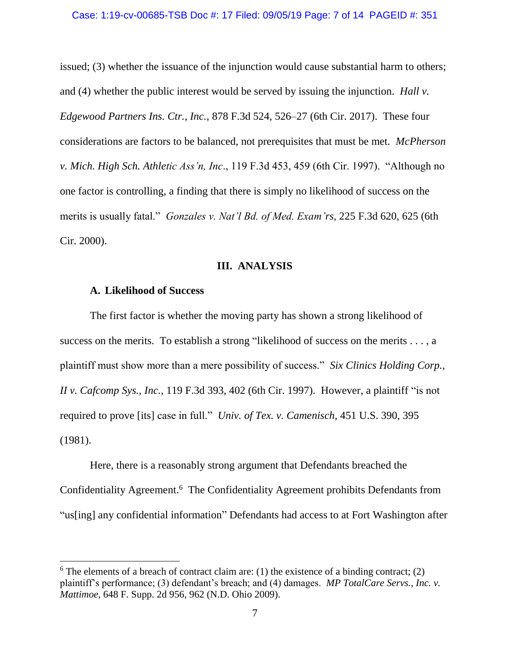issued; (3) whether the issuance of the injunction would cause substantial harm to others; and (4) whether the public interest would be served by issuing the injunction. *Hall v. Edgewood Partners Ins. Ctr., Inc.*, 878 F.3d 524, 526–27 (6th Cir. 2017). These four considerations are factors to be balanced, not prerequisites that must be met. *McPherson v. Mich. High Sch. Athletic Ass'n, Inc*., 119 F.3d 453, 459 (6th Cir. 1997). "Although no one factor is controlling, a finding that there is simply no likelihood of success on the merits is usually fatal." *Gonzales v. Nat'l Bd. of Med. Exam'rs,* 225 F.3d 620, 625 (6th Cir. 2000).

#### **III. ANALYSIS**

#### **A. Likelihood of Success**

 $\overline{a}$ 

The first factor is whether the moving party has shown a strong likelihood of success on the merits. To establish a strong "likelihood of success on the merits . . . , a plaintiff must show more than a mere possibility of success." *Six Clinics Holding Corp., II v. Cafcomp Sys., Inc.*, 119 F.3d 393, 402 (6th Cir. 1997). However, a plaintiff "is not required to prove [its] case in full." *Univ. of Tex. v. Camenisch*, 451 U.S. 390, 395 (1981).

Here, there is a reasonably strong argument that Defendants breached the Confidentiality Agreement.<sup>6</sup> The Confidentiality Agreement prohibits Defendants from "us[ing] any confidential information" Defendants had access to at Fort Washington after

 $6$  The elements of a breach of contract claim are: (1) the existence of a binding contract; (2) plaintiff's performance; (3) defendant's breach; and (4) damages. *MP TotalCare Servs., Inc. v. Mattimoe*, 648 F. Supp. 2d 956, 962 (N.D. Ohio 2009).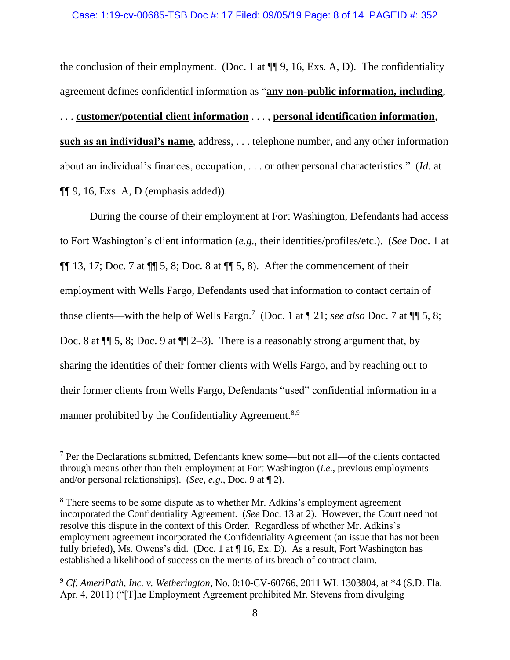the conclusion of their employment. (Doc. 1 at  $\P\P$  9, 16, Exs. A, D). The confidentiality agreement defines confidential information as "**any non-public information, including**, . . . **customer/potential client information** . . . , **personal identification information**, **such as an individual's name**, address, . . . telephone number, and any other information about an individual's finances, occupation, . . . or other personal characteristics." (*Id.* at  $\P\P$  9, 16, Exs. A, D (emphasis added)).

During the course of their employment at Fort Washington, Defendants had access to Fort Washington's client information (*e.g.*, their identities/profiles/etc.). (*See* Doc. 1 at  $\P\P$  13, 17; Doc. 7 at  $\P\P$  5, 8; Doc. 8 at  $\P\P$  5, 8). After the commencement of their employment with Wells Fargo, Defendants used that information to contact certain of those clients—with the help of Wells Fargo.<sup>7</sup> (Doc. 1 at  $\P$  21; *see also* Doc. 7 at  $\P$  5, 8; Doc. 8 at  $\P$  5, 8; Doc. 9 at  $\P$   $2-3$ ). There is a reasonably strong argument that, by sharing the identities of their former clients with Wells Fargo, and by reaching out to their former clients from Wells Fargo, Defendants "used" confidential information in a manner prohibited by the Confidentiality Agreement.<sup>8,9</sup>

 $<sup>7</sup>$  Per the Declarations submitted, Defendants knew some—but not all—of the clients contacted</sup> through means other than their employment at Fort Washington (*i.e.*, previous employments and/or personal relationships). (*See, e.g.*, Doc. 9 at ¶ 2).

<sup>&</sup>lt;sup>8</sup> There seems to be some dispute as to whether Mr. Adkins's employment agreement incorporated the Confidentiality Agreement. (*See* Doc. 13 at 2). However, the Court need not resolve this dispute in the context of this Order. Regardless of whether Mr. Adkins's employment agreement incorporated the Confidentiality Agreement (an issue that has not been fully briefed), Ms. Owens's did. (Doc. 1 at ¶ 16, Ex. D). As a result, Fort Washington has established a likelihood of success on the merits of its breach of contract claim.

<sup>9</sup> *Cf. AmeriPath, Inc. v. Wetherington*, No. 0:10-CV-60766, 2011 WL 1303804, at \*4 (S.D. Fla. Apr. 4, 2011) ("[T]he Employment Agreement prohibited Mr. Stevens from divulging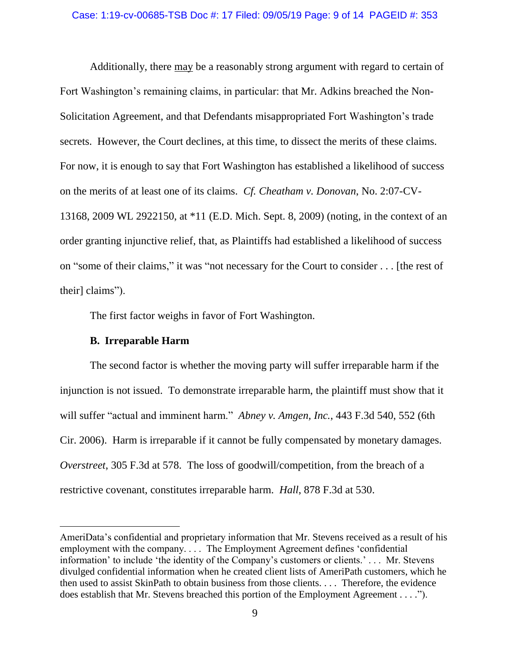Additionally, there may be a reasonably strong argument with regard to certain of Fort Washington's remaining claims, in particular: that Mr. Adkins breached the Non-Solicitation Agreement, and that Defendants misappropriated Fort Washington's trade secrets. However, the Court declines, at this time, to dissect the merits of these claims. For now, it is enough to say that Fort Washington has established a likelihood of success on the merits of at least one of its claims. *Cf. Cheatham v. Donovan*, No. 2:07-CV-13168, 2009 WL 2922150, at \*11 (E.D. Mich. Sept. 8, 2009) (noting, in the context of an order granting injunctive relief, that, as Plaintiffs had established a likelihood of success on "some of their claims," it was "not necessary for the Court to consider . . . [the rest of their] claims").

The first factor weighs in favor of Fort Washington.

## **B. Irreparable Harm**

 $\overline{\phantom{a}}$ 

The second factor is whether the moving party will suffer irreparable harm if the injunction is not issued. To demonstrate irreparable harm, the plaintiff must show that it will suffer "actual and imminent harm." *Abney v. Amgen, Inc.*, 443 F.3d 540, 552 (6th Cir. 2006). Harm is irreparable if it cannot be fully compensated by monetary damages. *Overstreet*, 305 F.3d at 578. The loss of goodwill/competition, from the breach of a restrictive covenant, constitutes irreparable harm. *Hall*, 878 F.3d at 530.

AmeriData's confidential and proprietary information that Mr. Stevens received as a result of his employment with the company. . . . The Employment Agreement defines 'confidential information' to include 'the identity of the Company's customers or clients.' . . . Mr. Stevens divulged confidential information when he created client lists of AmeriPath customers, which he then used to assist SkinPath to obtain business from those clients. . . . Therefore, the evidence does establish that Mr. Stevens breached this portion of the Employment Agreement . . . .").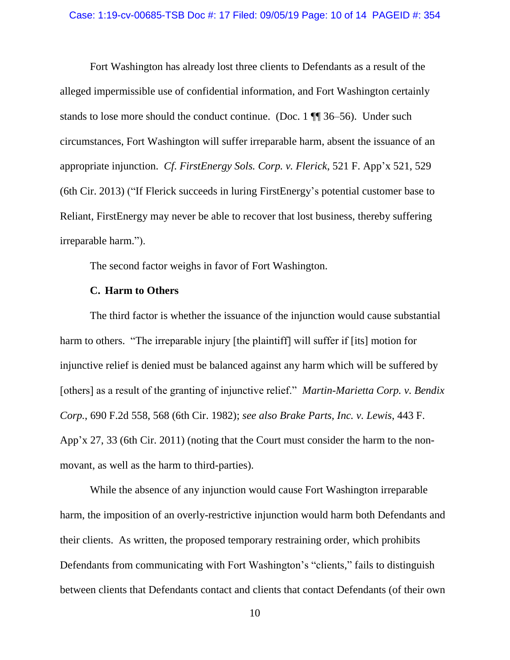Fort Washington has already lost three clients to Defendants as a result of the alleged impermissible use of confidential information, and Fort Washington certainly stands to lose more should the conduct continue. (Doc. 1 ¶¶ 36–56). Under such circumstances, Fort Washington will suffer irreparable harm, absent the issuance of an appropriate injunction. *Cf*. *FirstEnergy Sols. Corp. v. Flerick*, 521 F. App'x 521, 529 (6th Cir. 2013) ("If Flerick succeeds in luring FirstEnergy's potential customer base to Reliant, FirstEnergy may never be able to recover that lost business, thereby suffering irreparable harm.").

The second factor weighs in favor of Fort Washington.

### **C. Harm to Others**

The third factor is whether the issuance of the injunction would cause substantial harm to others. "The irreparable injury [the plaintiff] will suffer if [its] motion for injunctive relief is denied must be balanced against any harm which will be suffered by [others] as a result of the granting of injunctive relief." *Martin-Marietta Corp. v. Bendix Corp.*, 690 F.2d 558, 568 (6th Cir. 1982); *see also Brake Parts, Inc. v. Lewis*, 443 F. App'x 27, 33 (6th Cir. 2011) (noting that the Court must consider the harm to the nonmovant, as well as the harm to third-parties).

While the absence of any injunction would cause Fort Washington irreparable harm, the imposition of an overly-restrictive injunction would harm both Defendants and their clients. As written, the proposed temporary restraining order, which prohibits Defendants from communicating with Fort Washington's "clients," fails to distinguish between clients that Defendants contact and clients that contact Defendants (of their own

10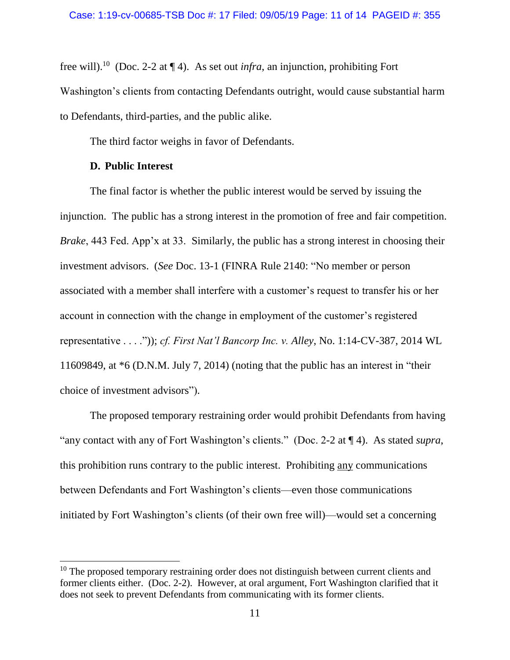free will). <sup>10</sup> (Doc. 2-2 at ¶ 4). As set out *infra*, an injunction, prohibiting Fort Washington's clients from contacting Defendants outright, would cause substantial harm to Defendants, third-parties, and the public alike.

The third factor weighs in favor of Defendants.

## **D. Public Interest**

 $\overline{a}$ 

The final factor is whether the public interest would be served by issuing the injunction. The public has a strong interest in the promotion of free and fair competition. *Brake*, 443 Fed. App'x at 33. Similarly, the public has a strong interest in choosing their investment advisors. (*See* Doc. 13-1 (FINRA Rule 2140: "No member or person associated with a member shall interfere with a customer's request to transfer his or her account in connection with the change in employment of the customer's registered representative . . . .")); *cf. First Nat'l Bancorp Inc. v. Alley*, No. 1:14-CV-387, 2014 WL 11609849, at \*6 (D.N.M. July 7, 2014) (noting that the public has an interest in "their choice of investment advisors").

The proposed temporary restraining order would prohibit Defendants from having "any contact with any of Fort Washington's clients." (Doc. 2-2 at ¶ 4). As stated *supra*, this prohibition runs contrary to the public interest. Prohibiting any communications between Defendants and Fort Washington's clients—even those communications initiated by Fort Washington's clients (of their own free will)—would set a concerning

 $10$  The proposed temporary restraining order does not distinguish between current clients and former clients either. (Doc. 2-2). However, at oral argument, Fort Washington clarified that it does not seek to prevent Defendants from communicating with its former clients.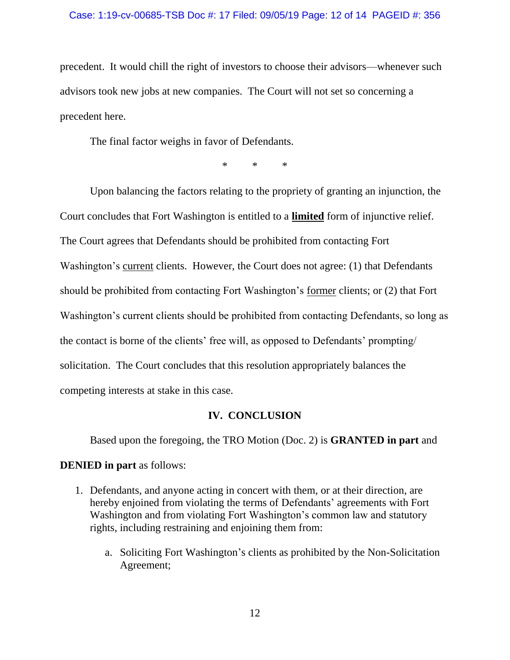precedent. It would chill the right of investors to choose their advisors—whenever such advisors took new jobs at new companies. The Court will not set so concerning a precedent here.

The final factor weighs in favor of Defendants.

\* \* \*

Upon balancing the factors relating to the propriety of granting an injunction, the Court concludes that Fort Washington is entitled to a **limited** form of injunctive relief. The Court agrees that Defendants should be prohibited from contacting Fort Washington's current clients. However, the Court does not agree: (1) that Defendants should be prohibited from contacting Fort Washington's former clients; or (2) that Fort Washington's current clients should be prohibited from contacting Defendants, so long as the contact is borne of the clients' free will, as opposed to Defendants' prompting/ solicitation. The Court concludes that this resolution appropriately balances the competing interests at stake in this case.

### **IV. CONCLUSION**

Based upon the foregoing, the TRO Motion (Doc. 2) is **GRANTED in part** and **DENIED in part** as follows:

- 1. Defendants, and anyone acting in concert with them, or at their direction, are hereby enjoined from violating the terms of Defendants' agreements with Fort Washington and from violating Fort Washington's common law and statutory rights, including restraining and enjoining them from:
	- a. Soliciting Fort Washington's clients as prohibited by the Non-Solicitation Agreement;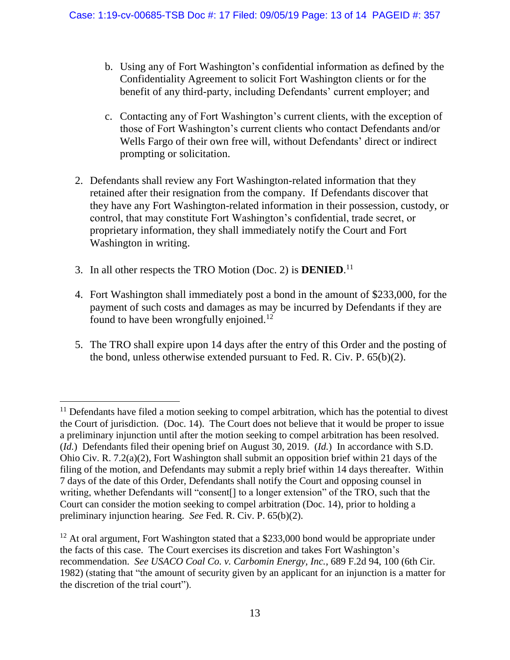- b. Using any of Fort Washington's confidential information as defined by the Confidentiality Agreement to solicit Fort Washington clients or for the benefit of any third-party, including Defendants' current employer; and
- c. Contacting any of Fort Washington's current clients, with the exception of those of Fort Washington's current clients who contact Defendants and/or Wells Fargo of their own free will, without Defendants' direct or indirect prompting or solicitation.
- 2. Defendants shall review any Fort Washington-related information that they retained after their resignation from the company. If Defendants discover that they have any Fort Washington-related information in their possession, custody, or control, that may constitute Fort Washington's confidential, trade secret, or proprietary information, they shall immediately notify the Court and Fort Washington in writing.
- 3. In all other respects the TRO Motion (Doc. 2) is **DENIED**. 11

 $\overline{\phantom{a}}$ 

- 4. Fort Washington shall immediately post a bond in the amount of \$233,000, for the payment of such costs and damages as may be incurred by Defendants if they are found to have been wrongfully enjoined.<sup>12</sup>
- 5. The TRO shall expire upon 14 days after the entry of this Order and the posting of the bond, unless otherwise extended pursuant to Fed. R. Civ. P. 65(b)(2).

 $11$  Defendants have filed a motion seeking to compel arbitration, which has the potential to divest the Court of jurisdiction. (Doc. 14). The Court does not believe that it would be proper to issue a preliminary injunction until after the motion seeking to compel arbitration has been resolved. (*Id.*) Defendants filed their opening brief on August 30, 2019. (*Id.*) In accordance with S.D. Ohio Civ. R. 7.2(a)(2), Fort Washington shall submit an opposition brief within 21 days of the filing of the motion, and Defendants may submit a reply brief within 14 days thereafter. Within 7 days of the date of this Order, Defendants shall notify the Court and opposing counsel in writing, whether Defendants will "consent[] to a longer extension" of the TRO, such that the Court can consider the motion seeking to compel arbitration (Doc. 14), prior to holding a preliminary injunction hearing. *See* Fed. R. Civ. P. 65(b)(2).

 $12$  At oral argument, Fort Washington stated that a \$233,000 bond would be appropriate under the facts of this case. The Court exercises its discretion and takes Fort Washington's recommendation. *See USACO Coal Co. v. Carbomin Energy, Inc.*, 689 F.2d 94, 100 (6th Cir. 1982) (stating that "the amount of security given by an applicant for an injunction is a matter for the discretion of the trial court").